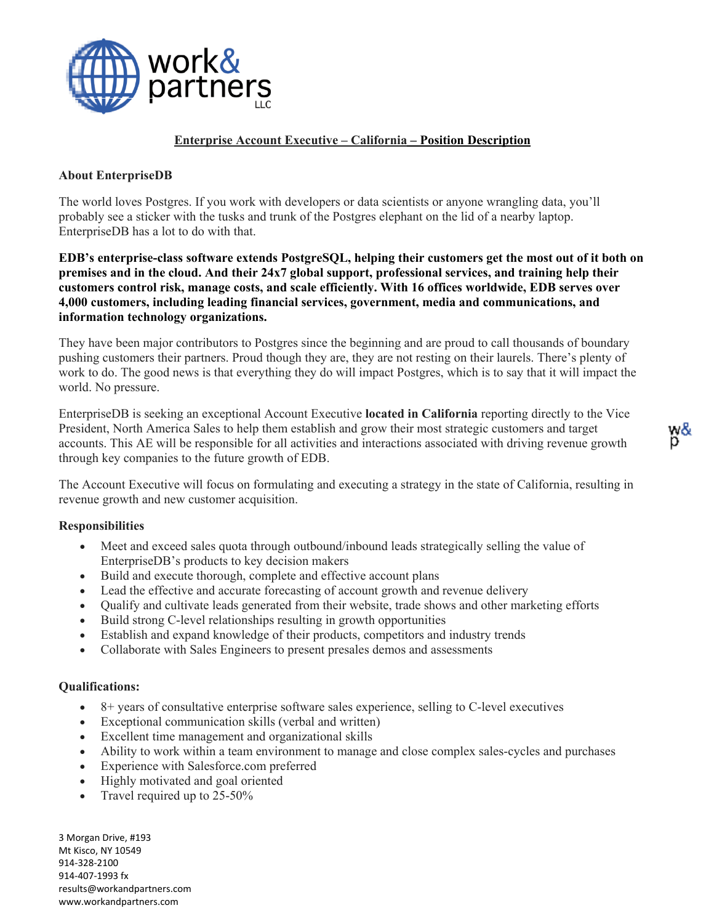

## **Enterprise Account Executive – California – Position Description**

## **About EnterpriseDB**

The world loves Postgres. If you work with developers or data scientists or anyone wrangling data, you'll probably see a sticker with the tusks and trunk of the Postgres elephant on the lid of a nearby laptop. EnterpriseDB has a lot to do with that.

**EDB's enterprise-class software extends PostgreSQL, helping their customers get the most out of it both on premises and in the cloud. And their 24x7 global support, professional services, and training help their customers control risk, manage costs, and scale efficiently. With 16 offices worldwide, EDB serves over 4,000 customers, including leading financial services, government, media and communications, and information technology organizations.**

They have been major contributors to Postgres since the beginning and are proud to call thousands of boundary pushing customers their partners. Proud though they are, they are not resting on their laurels. There's plenty of work to do. The good news is that everything they do will impact Postgres, which is to say that it will impact the world. No pressure.

EnterpriseDB is seeking an exceptional Account Executive **located in California** reporting directly to the Vice President, North America Sales to help them establish and grow their most strategic customers and target accounts. This AE will be responsible for all activities and interactions associated with driving revenue growth through key companies to the future growth of EDB.

The Account Executive will focus on formulating and executing a strategy in the state of California, resulting in revenue growth and new customer acquisition.

## **Responsibilities**

- Meet and exceed sales quota through outbound/inbound leads strategically selling the value of EnterpriseDB's products to key decision makers
- Build and execute thorough, complete and effective account plans
- Lead the effective and accurate forecasting of account growth and revenue delivery
- Qualify and cultivate leads generated from their website, trade shows and other marketing efforts
- Build strong C-level relationships resulting in growth opportunities
- Establish and expand knowledge of their products, competitors and industry trends
- Collaborate with Sales Engineers to present presales demos and assessments

## **Qualifications:**

- 8+ years of consultative enterprise software sales experience, selling to C-level executives
- Exceptional communication skills (verbal and written)
- Excellent time management and organizational skills
- Ability to work within a team environment to manage and close complex sales-cycles and purchases
- Experience with Salesforce.com preferred
- Highly motivated and goal oriented
- Travel required up to 25-50%

3 Morgan Drive, #193 Mt Kisco, NY 10549 914-328-2100 914-407-1993 fx [results@workandpartners.com](mailto:results@workandpartners.com) www.workandpartners.com